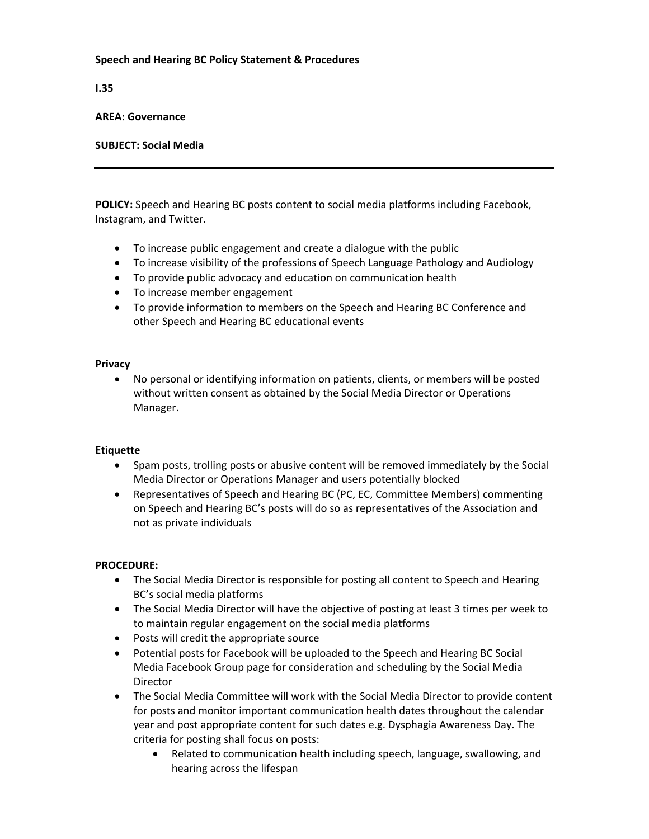# **Speech and Hearing BC Policy Statement & Procedures**

**I.35** 

#### **AREA: Governance**

# **SUBJECT: Social Media**

**POLICY:** Speech and Hearing BC posts content to social media platforms including Facebook, Instagram, and Twitter.

- To increase public engagement and create a dialogue with the public
- To increase visibility of the professions of Speech Language Pathology and Audiology
- To provide public advocacy and education on communication health
- To increase member engagement
- To provide information to members on the Speech and Hearing BC Conference and other Speech and Hearing BC educational events

## **Privacy**

• No personal or identifying information on patients, clients, or members will be posted without written consent as obtained by the Social Media Director or Operations Manager.

#### **Etiquette**

- Spam posts, trolling posts or abusive content will be removed immediately by the Social Media Director or Operations Manager and users potentially blocked
- Representatives of Speech and Hearing BC (PC, EC, Committee Members) commenting on Speech and Hearing BC's posts will do so as representatives of the Association and not as private individuals

# **PROCEDURE:**

- The Social Media Director is responsible for posting all content to Speech and Hearing BC's social media platforms
- The Social Media Director will have the objective of posting at least 3 times per week to to maintain regular engagement on the social media platforms
- Posts will credit the appropriate source
- Potential posts for Facebook will be uploaded to the Speech and Hearing BC Social Media Facebook Group page for consideration and scheduling by the Social Media Director
- The Social Media Committee will work with the Social Media Director to provide content for posts and monitor important communication health dates throughout the calendar year and post appropriate content for such dates e.g. Dysphagia Awareness Day. The criteria for posting shall focus on posts:
	- Related to communication health including speech, language, swallowing, and hearing across the lifespan